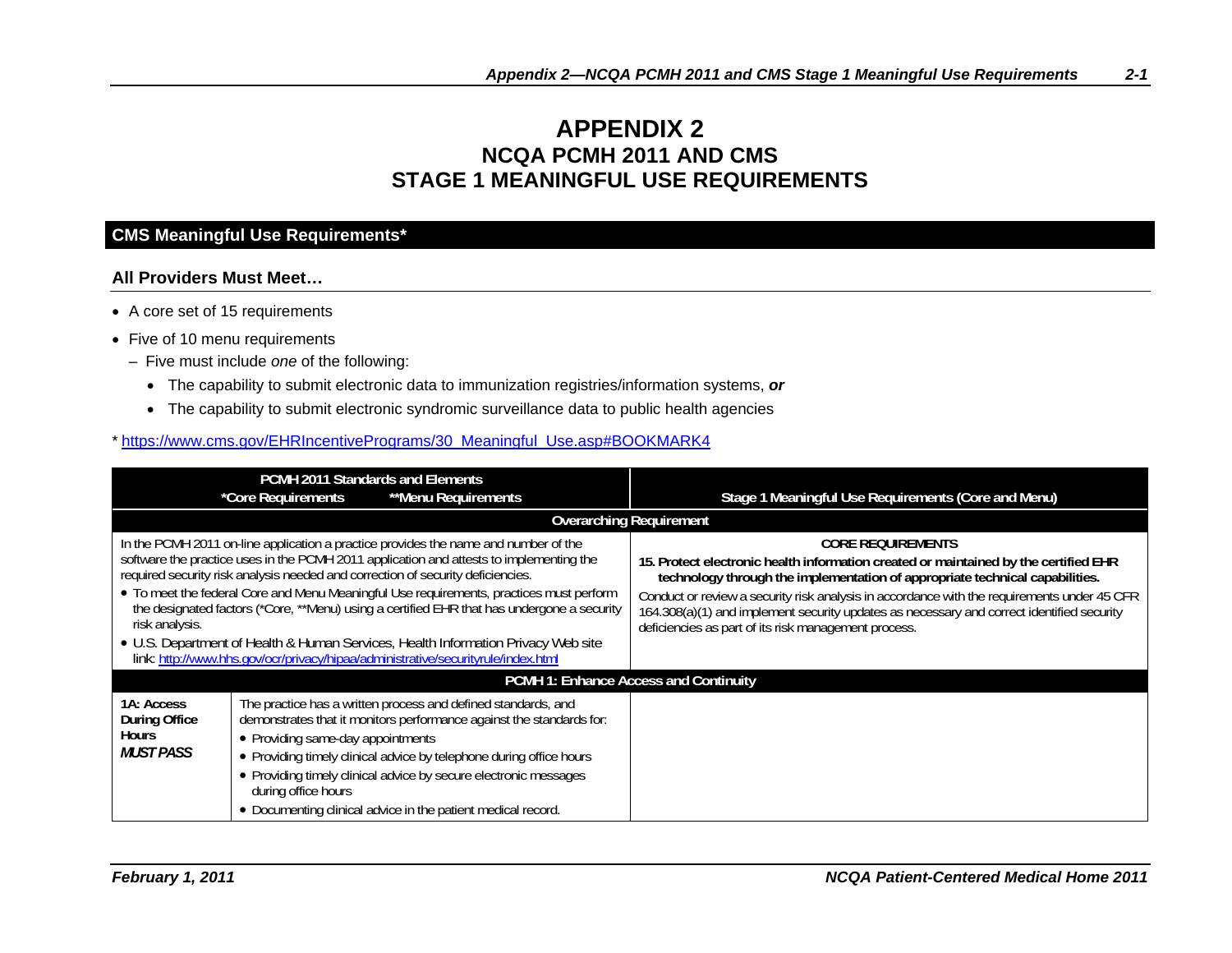## **APPENDIX 2 NCQA PCMH 2011 AND CMS STAGE 1 MEANINGFUL USE REQUIREMENTS**

## **CMS Meaningful Use Requirements\***

## **All Providers Must Meet…**

- A core set of 15 requirements
- Five of 10 menu requirements
	- Five must include *one* of the following:
		- The capability to submit electronic data to immunization registries/information systems, *or*
		- The capability to submit electronic syndromic surveillance data to public health agencies

## \* https://www.cms.gov/EHRIncentivePrograms/30\_Meaningful\_Use.asp#BOOKMARK4

|                                                                                                                                                                                                                                                                                                                                                                                                                                                                                                                                                                                                                                                        | <b>PCMH 2011 Standards and Elements</b><br>**Menu Requirements<br>*Core Requirements                                                                                                                                                                                                                                                                                                                         | Stage 1 Meaningful Use Requirements (Core and Menu)                                                                                                                                                                                                                                                                                                                                                                                                  |
|--------------------------------------------------------------------------------------------------------------------------------------------------------------------------------------------------------------------------------------------------------------------------------------------------------------------------------------------------------------------------------------------------------------------------------------------------------------------------------------------------------------------------------------------------------------------------------------------------------------------------------------------------------|--------------------------------------------------------------------------------------------------------------------------------------------------------------------------------------------------------------------------------------------------------------------------------------------------------------------------------------------------------------------------------------------------------------|------------------------------------------------------------------------------------------------------------------------------------------------------------------------------------------------------------------------------------------------------------------------------------------------------------------------------------------------------------------------------------------------------------------------------------------------------|
|                                                                                                                                                                                                                                                                                                                                                                                                                                                                                                                                                                                                                                                        |                                                                                                                                                                                                                                                                                                                                                                                                              | <b>Overarching Requirement</b>                                                                                                                                                                                                                                                                                                                                                                                                                       |
| In the PCMH 2011 on-line application a practice provides the name and number of the<br>software the practice uses in the PCMH 2011 application and attests to implementing the<br>required security risk analysis needed and correction of security deficiencies.<br>• To meet the federal Core and Menu Meaningful Use requirements, practices must perform<br>the designated factors (*Core, **Menu) using a certified EHR that has undergone a security<br>risk analysis.<br>• U.S. Department of Health & Human Services, Health Information Privacy Web site<br>link: http://www.hhs.gov/ocr/privacy/hipaa/administrative/securityrule/index.html |                                                                                                                                                                                                                                                                                                                                                                                                              | <b>CORE REQUIREMENTS</b><br>15. Protect electronic health information created or maintained by the certified EHR<br>technology through the implementation of appropriate technical capabilities.<br>Conduct or review a security risk analysis in accordance with the requirements under 45 CFR<br>164.308(a)(1) and implement security updates as necessary and correct identified security<br>deficiencies as part of its risk management process. |
|                                                                                                                                                                                                                                                                                                                                                                                                                                                                                                                                                                                                                                                        |                                                                                                                                                                                                                                                                                                                                                                                                              | <b>PCMH 1: Enhance Access and Continuity</b>                                                                                                                                                                                                                                                                                                                                                                                                         |
| 1A: Access<br><b>During Office</b><br><b>Hours</b><br><b>MUST PASS</b>                                                                                                                                                                                                                                                                                                                                                                                                                                                                                                                                                                                 | The practice has a written process and defined standards, and<br>demonstrates that it monitors performance against the standards for:<br>• Providing same-day appointments<br>• Providing timely clinical advice by telephone during office hours<br>• Providing timely clinical advice by secure electronic messages<br>during office hours<br>• Documenting clinical advice in the patient medical record. |                                                                                                                                                                                                                                                                                                                                                                                                                                                      |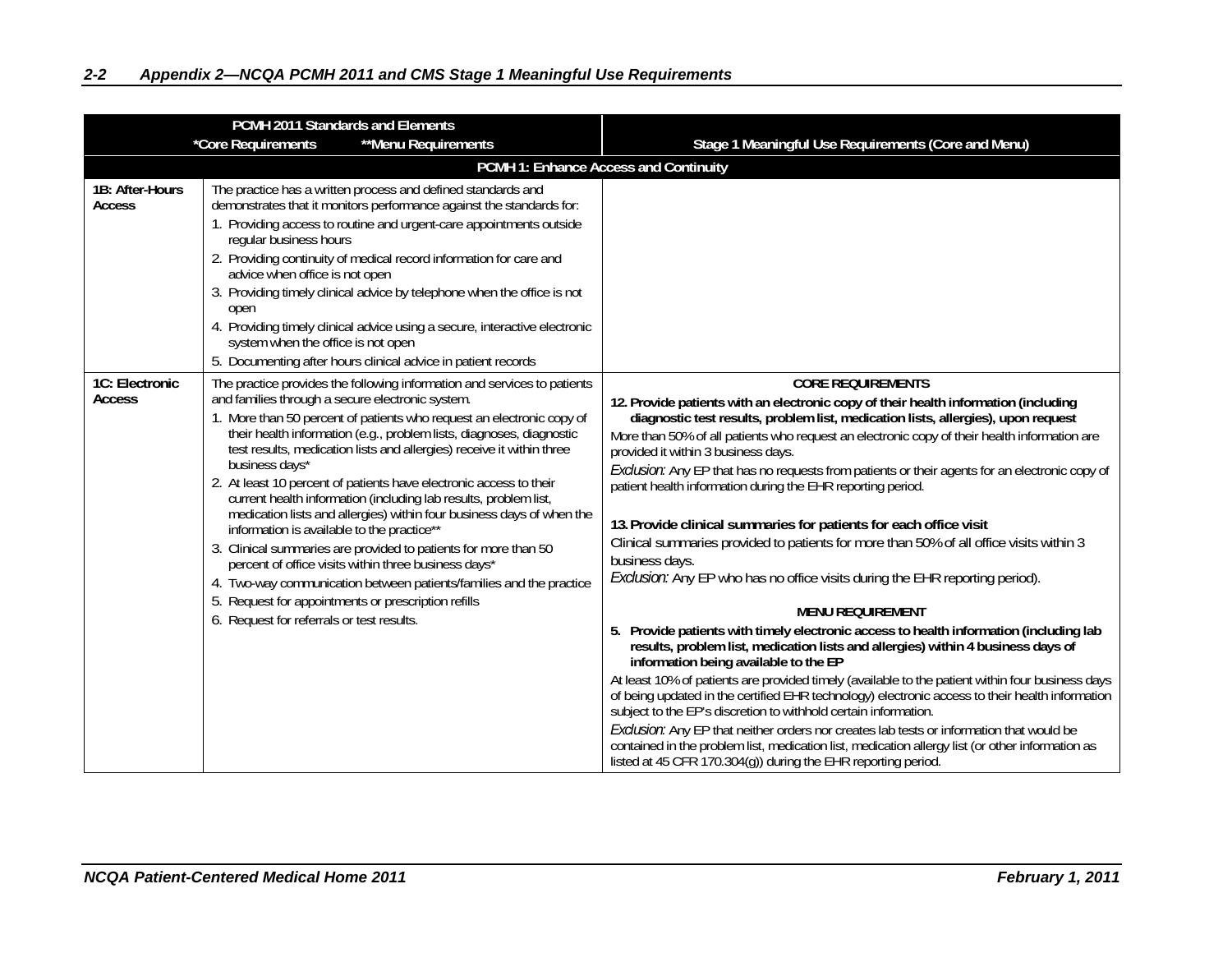| PCMH 2011 Standards and Elements                   |                                                                                                                                                                                                                                                                                                                                                                                                                                                                                                                                                                                                                                                                                                                                                                                                                                                                     |                                                                                                                                                                                                                                                                                                                                                                                                                                                                                                                                                                                                                                                                                                                                                                                                                                                                                                                                                                                                                                                                                                                                                                                                                                                                                                                                                                                                                                                                                                                                                        |
|----------------------------------------------------|---------------------------------------------------------------------------------------------------------------------------------------------------------------------------------------------------------------------------------------------------------------------------------------------------------------------------------------------------------------------------------------------------------------------------------------------------------------------------------------------------------------------------------------------------------------------------------------------------------------------------------------------------------------------------------------------------------------------------------------------------------------------------------------------------------------------------------------------------------------------|--------------------------------------------------------------------------------------------------------------------------------------------------------------------------------------------------------------------------------------------------------------------------------------------------------------------------------------------------------------------------------------------------------------------------------------------------------------------------------------------------------------------------------------------------------------------------------------------------------------------------------------------------------------------------------------------------------------------------------------------------------------------------------------------------------------------------------------------------------------------------------------------------------------------------------------------------------------------------------------------------------------------------------------------------------------------------------------------------------------------------------------------------------------------------------------------------------------------------------------------------------------------------------------------------------------------------------------------------------------------------------------------------------------------------------------------------------------------------------------------------------------------------------------------------------|
|                                                    | *Core Requirements<br>**Menu Requirements                                                                                                                                                                                                                                                                                                                                                                                                                                                                                                                                                                                                                                                                                                                                                                                                                           | Stage 1 Meaningful Use Requirements (Core and Menu)                                                                                                                                                                                                                                                                                                                                                                                                                                                                                                                                                                                                                                                                                                                                                                                                                                                                                                                                                                                                                                                                                                                                                                                                                                                                                                                                                                                                                                                                                                    |
|                                                    | PCMH 1: Enhance Access and Continuity                                                                                                                                                                                                                                                                                                                                                                                                                                                                                                                                                                                                                                                                                                                                                                                                                               |                                                                                                                                                                                                                                                                                                                                                                                                                                                                                                                                                                                                                                                                                                                                                                                                                                                                                                                                                                                                                                                                                                                                                                                                                                                                                                                                                                                                                                                                                                                                                        |
| 1B: After-Hours<br><b>Access</b><br>1C: Electronic | The practice has a written process and defined standards and<br>demonstrates that it monitors performance against the standards for:<br>1. Providing access to routine and urgent-care appointments outside<br>regular business hours<br>2. Providing continuity of medical record information for care and<br>advice when office is not open<br>3. Providing timely clinical advice by telephone when the office is not<br>open<br>4. Providing timely clinical advice using a secure, interactive electronic<br>system when the office is not open<br>5. Documenting after hours clinical advice in patient records<br>The practice provides the following information and services to patients                                                                                                                                                                   | <b>CORE REQUIREMENTS</b>                                                                                                                                                                                                                                                                                                                                                                                                                                                                                                                                                                                                                                                                                                                                                                                                                                                                                                                                                                                                                                                                                                                                                                                                                                                                                                                                                                                                                                                                                                                               |
| Access                                             | and families through a secure electronic system.<br>1. More than 50 percent of patients who request an electronic copy of<br>their health information (e.g., problem lists, diagnoses, diagnostic<br>test results, medication lists and allergies) receive it within three<br>business days*<br>2. At least 10 percent of patients have electronic access to their<br>current health information (including lab results, problem list,<br>medication lists and allergies) within four business days of when the<br>information is available to the practice**<br>3. Clinical summaries are provided to patients for more than 50<br>percent of office visits within three business days*<br>4. Two-way communication between patients/families and the practice<br>5. Request for appointments or prescription refills<br>6. Request for referrals or test results. | 12. Provide patients with an electronic copy of their health information (including<br>diagnostic test results, problem list, medication lists, allergies), upon request<br>More than 50% of all patients who request an electronic copy of their health information are<br>provided it within 3 business days.<br>Exclusion: Any EP that has no requests from patients or their agents for an electronic copy of<br>patient health information during the EHR reporting period.<br>13. Provide clinical summaries for patients for each office visit<br>Clinical summaries provided to patients for more than 50% of all office visits within 3<br>business days.<br><i>Exclusion:</i> Any EP who has no office visits during the EHR reporting period).<br><b>MENU REQUIREMENT</b><br>5. Provide patients with timely electronic access to health information (including lab<br>results, problem list, medication lists and allergies) within 4 business days of<br>information being available to the EP<br>At least 10% of patients are provided timely (available to the patient within four business days<br>of being updated in the certified EHR technology) electronic access to their health information<br>subject to the EP's discretion to withhold certain information.<br>Exclusion: Any EP that neither orders nor creates lab tests or information that would be<br>contained in the problem list, medication list, medication allergy list (or other information as<br>listed at 45 CFR 170.304(g)) during the EHR reporting period. |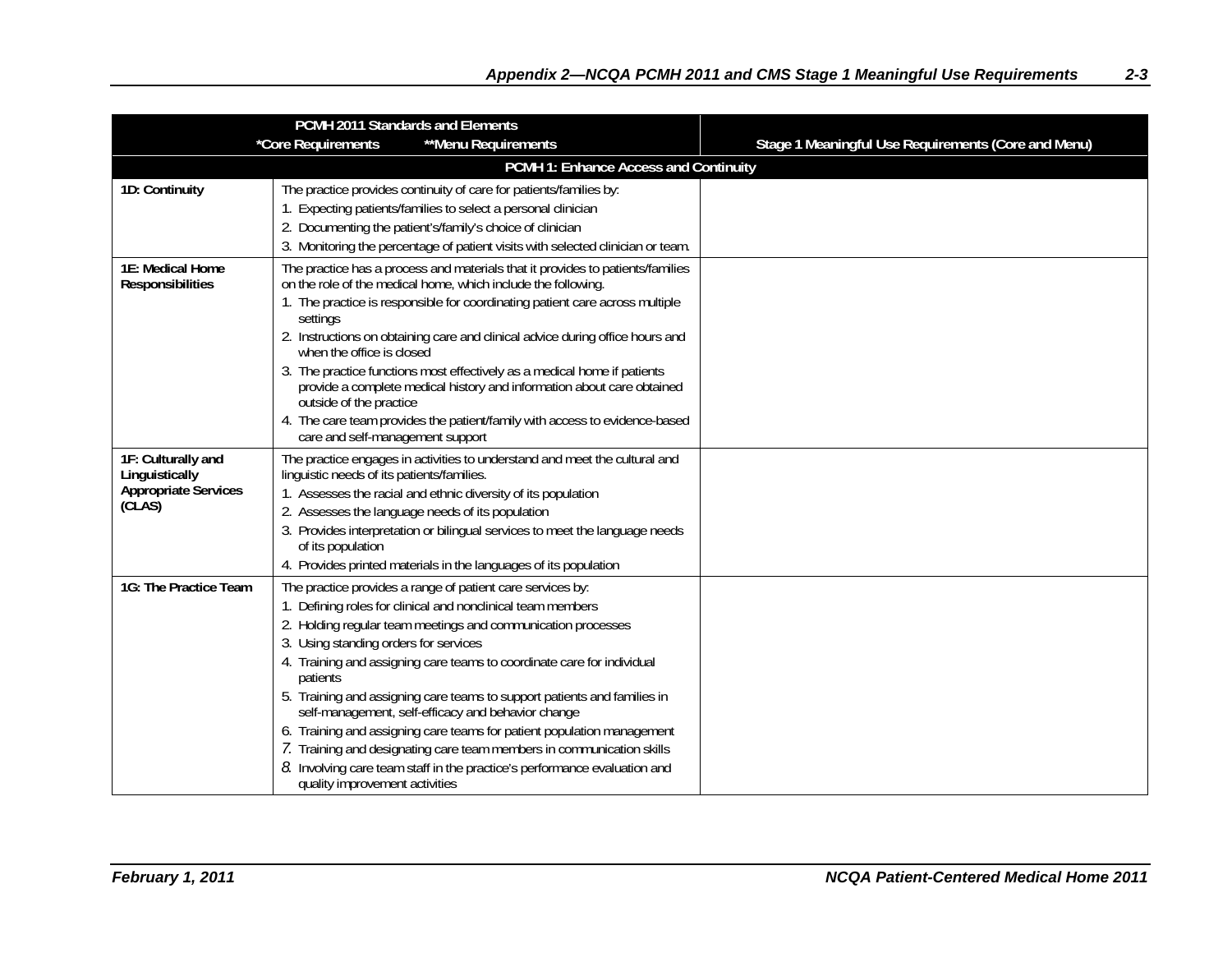|                                               | PCMH 2011 Standards and Elements                                                                                                              |                                                     |
|-----------------------------------------------|-----------------------------------------------------------------------------------------------------------------------------------------------|-----------------------------------------------------|
|                                               | *Core Requirements<br>**Menu Requirements                                                                                                     | Stage 1 Meaningful Use Requirements (Core and Menu) |
|                                               | PCMH 1: Enhance Access and Continuity                                                                                                         |                                                     |
| 1D: Continuity                                | The practice provides continuity of care for patients/families by:                                                                            |                                                     |
|                                               | 1. Expecting patients/families to select a personal clinician                                                                                 |                                                     |
|                                               | 2. Documenting the patient's/family's choice of clinician                                                                                     |                                                     |
|                                               | 3. Monitoring the percentage of patient visits with selected clinician or team.                                                               |                                                     |
| 1E: Medical Home                              | The practice has a process and materials that it provides to patients/families                                                                |                                                     |
| Responsibilities                              | on the role of the medical home, which include the following.<br>1. The practice is responsible for coordinating patient care across multiple |                                                     |
|                                               | settings                                                                                                                                      |                                                     |
|                                               | 2. Instructions on obtaining care and clinical advice during office hours and                                                                 |                                                     |
|                                               | when the office is closed                                                                                                                     |                                                     |
|                                               | 3. The practice functions most effectively as a medical home if patients                                                                      |                                                     |
|                                               | provide a complete medical history and information about care obtained<br>outside of the practice                                             |                                                     |
|                                               | 4. The care team provides the patient/family with access to evidence-based                                                                    |                                                     |
|                                               | care and self-management support                                                                                                              |                                                     |
| 1F: Culturally and                            | The practice engages in activities to understand and meet the cultural and                                                                    |                                                     |
| Linguistically<br><b>Appropriate Services</b> | linguistic needs of its patients/families.                                                                                                    |                                                     |
| (CLAS)                                        | 1. Assesses the racial and ethnic diversity of its population<br>2. Assesses the language needs of its population                             |                                                     |
|                                               | 3. Provides interpretation or bilingual services to meet the language needs                                                                   |                                                     |
|                                               | of its population                                                                                                                             |                                                     |
|                                               | 4. Provides printed materials in the languages of its population                                                                              |                                                     |
| 1G: The Practice Team                         | The practice provides a range of patient care services by:                                                                                    |                                                     |
|                                               | 1. Defining roles for clinical and nonclinical team members                                                                                   |                                                     |
|                                               | 2. Holding regular team meetings and communication processes                                                                                  |                                                     |
|                                               | 3. Using standing orders for services                                                                                                         |                                                     |
|                                               | 4. Training and assigning care teams to coordinate care for individual<br>patients                                                            |                                                     |
|                                               | 5. Training and assigning care teams to support patients and families in                                                                      |                                                     |
|                                               | self-management, self-efficacy and behavior change                                                                                            |                                                     |
|                                               | 6. Training and assigning care teams for patient population management                                                                        |                                                     |
|                                               | 7. Training and designating care team members in communication skills                                                                         |                                                     |
|                                               | 8. Involving care team staff in the practice's performance evaluation and<br>quality improvement activities                                   |                                                     |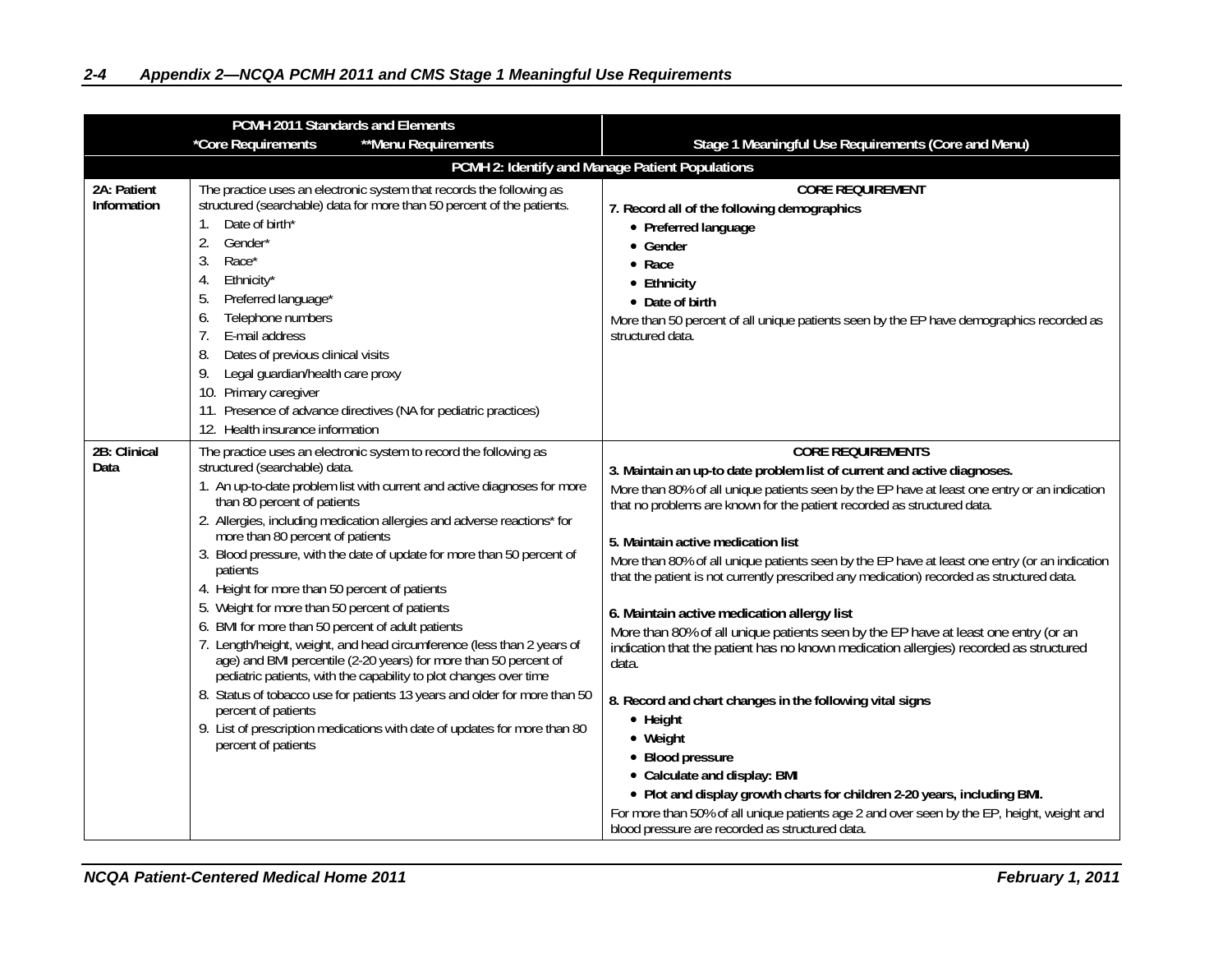|                            | PCMH 2011 Standards and Elements                                                                                                                                                                                                                                                                                                                                                                                                                                                                                                                                                                                                                                                                                                                                                                                                                                                                                                                                                                       |                                                                                                                                                                                                                                                                                                                                                                                                                                                                                                                                                                                                                                                                                                                                                                                                                                                                                                                                                                                                                                                                                                                               |
|----------------------------|--------------------------------------------------------------------------------------------------------------------------------------------------------------------------------------------------------------------------------------------------------------------------------------------------------------------------------------------------------------------------------------------------------------------------------------------------------------------------------------------------------------------------------------------------------------------------------------------------------------------------------------------------------------------------------------------------------------------------------------------------------------------------------------------------------------------------------------------------------------------------------------------------------------------------------------------------------------------------------------------------------|-------------------------------------------------------------------------------------------------------------------------------------------------------------------------------------------------------------------------------------------------------------------------------------------------------------------------------------------------------------------------------------------------------------------------------------------------------------------------------------------------------------------------------------------------------------------------------------------------------------------------------------------------------------------------------------------------------------------------------------------------------------------------------------------------------------------------------------------------------------------------------------------------------------------------------------------------------------------------------------------------------------------------------------------------------------------------------------------------------------------------------|
|                            | *Core Requirements<br>**Menu Requirements                                                                                                                                                                                                                                                                                                                                                                                                                                                                                                                                                                                                                                                                                                                                                                                                                                                                                                                                                              | Stage 1 Meaningful Use Requirements (Core and Menu)                                                                                                                                                                                                                                                                                                                                                                                                                                                                                                                                                                                                                                                                                                                                                                                                                                                                                                                                                                                                                                                                           |
|                            |                                                                                                                                                                                                                                                                                                                                                                                                                                                                                                                                                                                                                                                                                                                                                                                                                                                                                                                                                                                                        | PCMH 2: Identify and Manage Patient Populations                                                                                                                                                                                                                                                                                                                                                                                                                                                                                                                                                                                                                                                                                                                                                                                                                                                                                                                                                                                                                                                                               |
| 2A: Patient<br>Information | The practice uses an electronic system that records the following as<br>structured (searchable) data for more than 50 percent of the patients.<br>Date of birth*<br>$\mathbf{1}$ .<br>2.<br>Gender*<br>3.<br>Race*<br>Ethnicity*<br>4.<br>5.<br>Preferred language*<br>Telephone numbers<br>6.<br>E-mail address<br>8.<br>Dates of previous clinical visits<br>9.<br>Legal guardian/health care proxy<br>10. Primary caregiver<br>11. Presence of advance directives (NA for pediatric practices)<br>12. Health insurance information                                                                                                                                                                                                                                                                                                                                                                                                                                                                  | <b>CORE REQUIREMENT</b><br>7. Record all of the following demographics<br>• Preferred language<br>• Gender<br>$\bullet$ Race<br>• Ethnicity<br>• Date of birth<br>More than 50 percent of all unique patients seen by the EP have demographics recorded as<br>structured data.                                                                                                                                                                                                                                                                                                                                                                                                                                                                                                                                                                                                                                                                                                                                                                                                                                                |
| 2B: Clinical<br>Data       | The practice uses an electronic system to record the following as<br>structured (searchable) data.<br>1. An up-to-date problem list with current and active diagnoses for more<br>than 80 percent of patients<br>2. Allergies, including medication allergies and adverse reactions* for<br>more than 80 percent of patients<br>3. Blood pressure, with the date of update for more than 50 percent of<br>patients<br>4. Height for more than 50 percent of patients<br>5. Weight for more than 50 percent of patients<br>6. BMI for more than 50 percent of adult patients<br>7. Length/height, weight, and head circumference (less than 2 years of<br>age) and BMI percentile (2-20 years) for more than 50 percent of<br>pediatric patients, with the capability to plot changes over time<br>8. Status of tobacco use for patients 13 years and older for more than 50<br>percent of patients<br>9. List of prescription medications with date of updates for more than 80<br>percent of patients | <b>CORE REQUIREMENTS</b><br>3. Maintain an up-to date problem list of current and active diagnoses.<br>More than 80% of all unique patients seen by the EP have at least one entry or an indication<br>that no problems are known for the patient recorded as structured data.<br>5. Maintain active medication list<br>More than 80% of all unique patients seen by the EP have at least one entry (or an indication<br>that the patient is not currently prescribed any medication) recorded as structured data.<br>6. Maintain active medication allergy list<br>More than 80% of all unique patients seen by the EP have at least one entry (or an<br>indication that the patient has no known medication allergies) recorded as structured<br>data.<br>8. Record and chart changes in the following vital signs<br>• Height<br>• Weight<br>• Blood pressure<br>• Calculate and display: BMI<br>. Plot and display growth charts for children 2-20 years, including BMI.<br>For more than 50% of all unique patients age 2 and over seen by the EP, height, weight and<br>blood pressure are recorded as structured data. |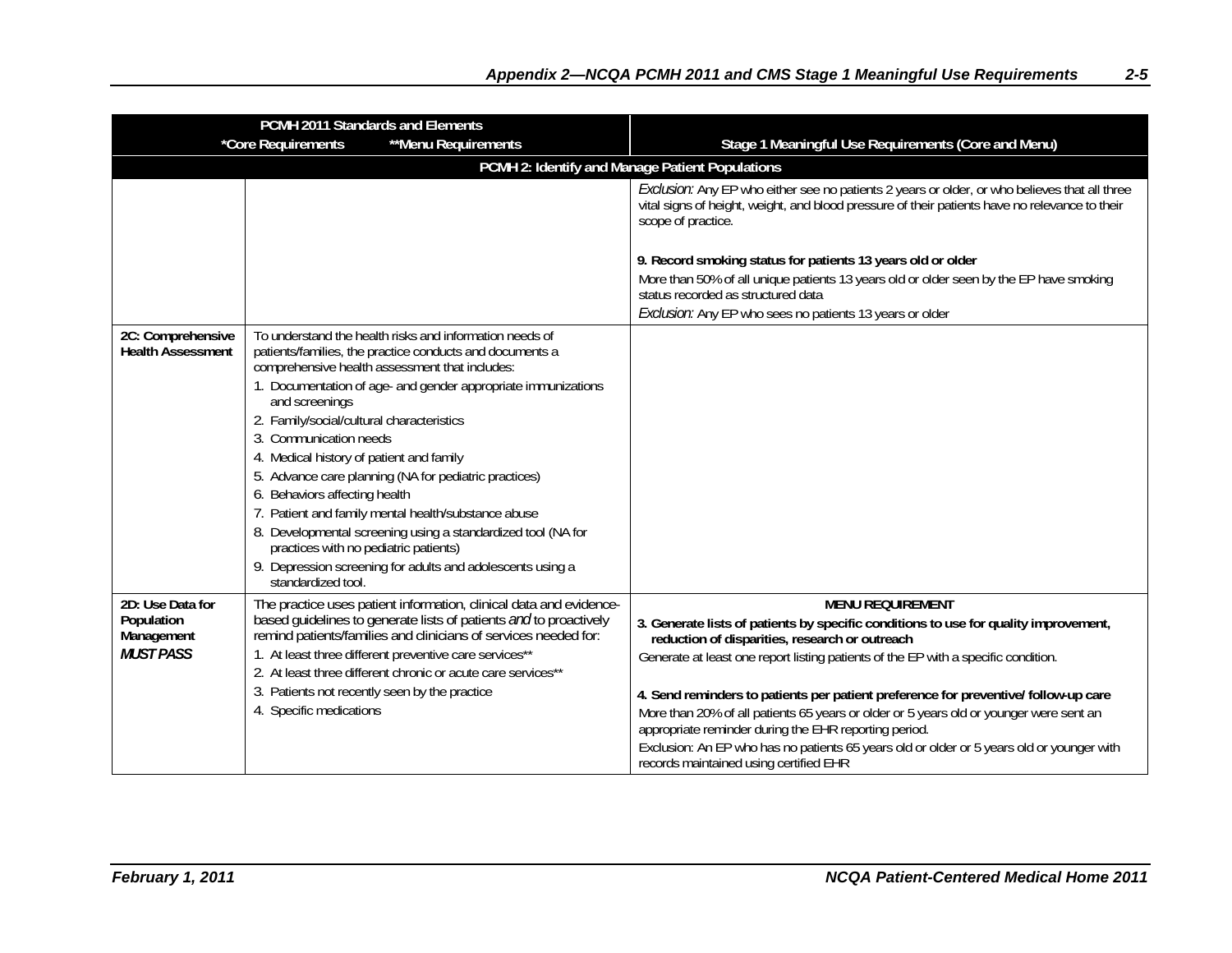|                                                                  | PCMH 2011 Standards and Elements<br>*Core Requirements                                                                                                                                                                                                                                                                                                                                                                                                                                                                                                                                                                                                                                                                    | Stage 1 Meaningful Use Requirements (Core and Menu)                                                                                                                                                                                                                                                                                                                                                                                                                                                                                                                                                                                      |
|------------------------------------------------------------------|---------------------------------------------------------------------------------------------------------------------------------------------------------------------------------------------------------------------------------------------------------------------------------------------------------------------------------------------------------------------------------------------------------------------------------------------------------------------------------------------------------------------------------------------------------------------------------------------------------------------------------------------------------------------------------------------------------------------------|------------------------------------------------------------------------------------------------------------------------------------------------------------------------------------------------------------------------------------------------------------------------------------------------------------------------------------------------------------------------------------------------------------------------------------------------------------------------------------------------------------------------------------------------------------------------------------------------------------------------------------------|
|                                                                  | **Menu Requirements                                                                                                                                                                                                                                                                                                                                                                                                                                                                                                                                                                                                                                                                                                       |                                                                                                                                                                                                                                                                                                                                                                                                                                                                                                                                                                                                                                          |
|                                                                  |                                                                                                                                                                                                                                                                                                                                                                                                                                                                                                                                                                                                                                                                                                                           | PCMH 2: Identify and Manage Patient Populations                                                                                                                                                                                                                                                                                                                                                                                                                                                                                                                                                                                          |
|                                                                  |                                                                                                                                                                                                                                                                                                                                                                                                                                                                                                                                                                                                                                                                                                                           | Exclusion: Any EP who either see no patients 2 years or older, or who believes that all three<br>vital signs of height, weight, and blood pressure of their patients have no relevance to their<br>scope of practice.                                                                                                                                                                                                                                                                                                                                                                                                                    |
|                                                                  |                                                                                                                                                                                                                                                                                                                                                                                                                                                                                                                                                                                                                                                                                                                           | 9. Record smoking status for patients 13 years old or older                                                                                                                                                                                                                                                                                                                                                                                                                                                                                                                                                                              |
|                                                                  |                                                                                                                                                                                                                                                                                                                                                                                                                                                                                                                                                                                                                                                                                                                           | More than 50% of all unique patients 13 years old or older seen by the EP have smoking<br>status recorded as structured data                                                                                                                                                                                                                                                                                                                                                                                                                                                                                                             |
|                                                                  |                                                                                                                                                                                                                                                                                                                                                                                                                                                                                                                                                                                                                                                                                                                           | Exclusion: Any EP who sees no patients 13 years or older                                                                                                                                                                                                                                                                                                                                                                                                                                                                                                                                                                                 |
| 2C: Comprehensive<br><b>Health Assessment</b>                    | To understand the health risks and information needs of<br>patients/families, the practice conducts and documents a<br>comprehensive health assessment that includes:<br>1. Documentation of age- and gender appropriate immunizations<br>and screenings<br>2. Family/social/cultural characteristics<br>3. Communication needs<br>4. Medical history of patient and family<br>5. Advance care planning (NA for pediatric practices)<br>6. Behaviors affecting health<br>7. Patient and family mental health/substance abuse<br>8. Developmental screening using a standardized tool (NA for<br>practices with no pediatric patients)<br>9. Depression screening for adults and adolescents using a<br>standardized tool. |                                                                                                                                                                                                                                                                                                                                                                                                                                                                                                                                                                                                                                          |
| 2D: Use Data for<br>Population<br>Management<br><b>MUST PASS</b> | The practice uses patient information, clinical data and evidence-<br>based guidelines to generate lists of patients and to proactively<br>remind patients/families and clinicians of services needed for:<br>1. At least three different preventive care services**<br>2. At least three different chronic or acute care services**<br>3. Patients not recently seen by the practice<br>4. Specific medications                                                                                                                                                                                                                                                                                                          | <b>MENU REQUIREMENT</b><br>3. Generate lists of patients by specific conditions to use for quality improvement,<br>reduction of disparities, research or outreach<br>Generate at least one report listing patients of the EP with a specific condition.<br>4. Send reminders to patients per patient preference for preventive/ follow-up care<br>More than 20% of all patients 65 years or older or 5 years old or younger were sent an<br>appropriate reminder during the EHR reporting period.<br>Exclusion: An EP who has no patients 65 years old or older or 5 years old or younger with<br>records maintained using certified EHR |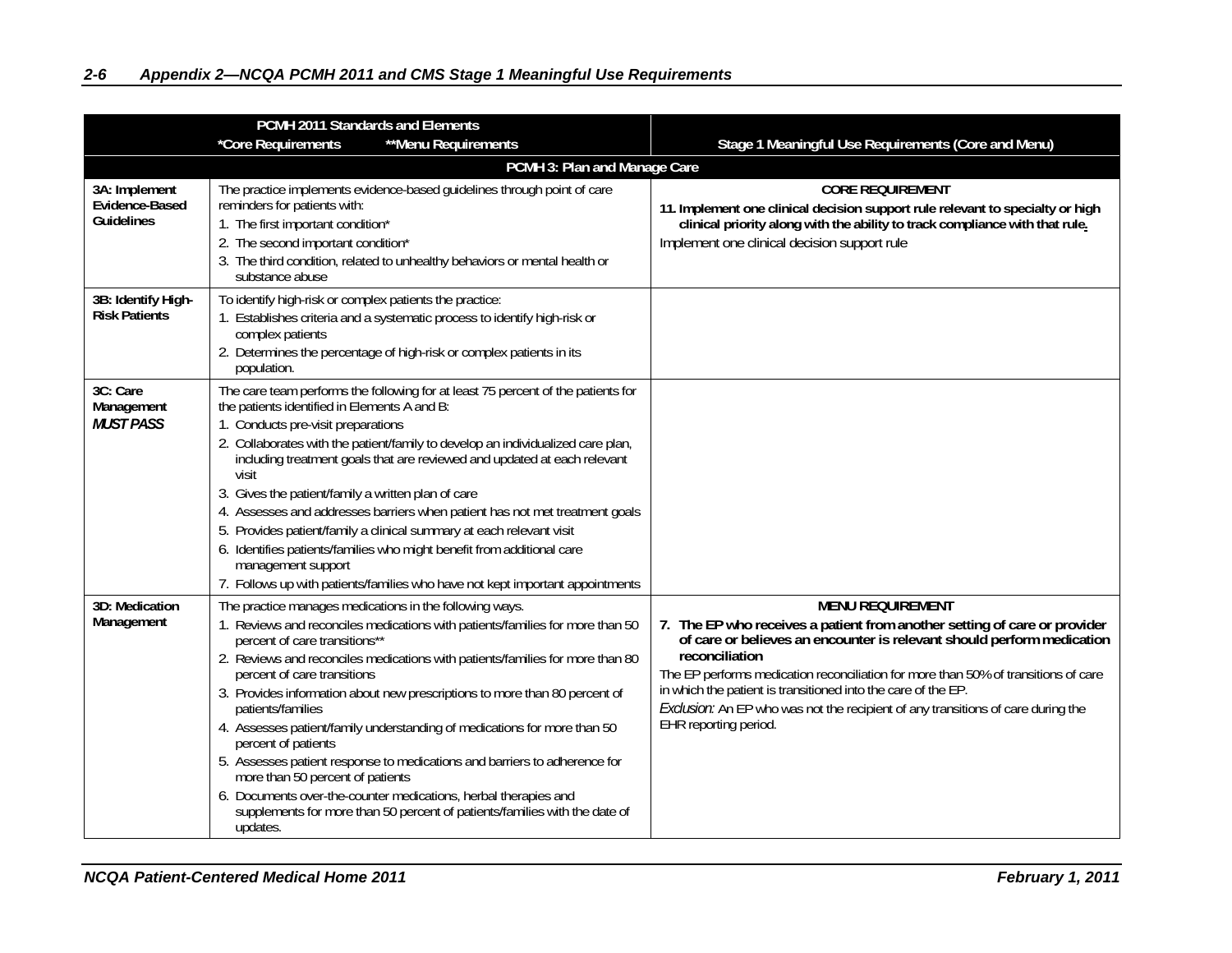|                                                      | PCMH 2011 Standards and Elements                                                                                                                                                                                                                                                                                                                                                                                                                                                                                                                                                                                                                                                                                                                                              |                                                                                                                                                                                                                                                                                                                                                                                                                                                                      |
|------------------------------------------------------|-------------------------------------------------------------------------------------------------------------------------------------------------------------------------------------------------------------------------------------------------------------------------------------------------------------------------------------------------------------------------------------------------------------------------------------------------------------------------------------------------------------------------------------------------------------------------------------------------------------------------------------------------------------------------------------------------------------------------------------------------------------------------------|----------------------------------------------------------------------------------------------------------------------------------------------------------------------------------------------------------------------------------------------------------------------------------------------------------------------------------------------------------------------------------------------------------------------------------------------------------------------|
|                                                      | *Core Requirements<br>**Menu Requirements                                                                                                                                                                                                                                                                                                                                                                                                                                                                                                                                                                                                                                                                                                                                     | Stage 1 Meaningful Use Requirements (Core and Menu)                                                                                                                                                                                                                                                                                                                                                                                                                  |
|                                                      | PCMH 3: Plan and Manage Care                                                                                                                                                                                                                                                                                                                                                                                                                                                                                                                                                                                                                                                                                                                                                  |                                                                                                                                                                                                                                                                                                                                                                                                                                                                      |
| 3A: Implement<br>Evidence-Based<br><b>Guidelines</b> | The practice implements evidence-based guidelines through point of care<br>reminders for patients with:<br>1. The first important condition*<br>2. The second important condition*<br>3. The third condition, related to unhealthy behaviors or mental health or<br>substance abuse                                                                                                                                                                                                                                                                                                                                                                                                                                                                                           | <b>CORE REQUIREMENT</b><br>11. Implement one clinical decision support rule relevant to specialty or high<br>clinical priority along with the ability to track compliance with that rule.<br>Implement one clinical decision support rule                                                                                                                                                                                                                            |
| 3B: Identify High-<br><b>Risk Patients</b>           | To identify high-risk or complex patients the practice:<br>1. Establishes criteria and a systematic process to identify high-risk or<br>complex patients<br>2. Determines the percentage of high-risk or complex patients in its<br>population.                                                                                                                                                                                                                                                                                                                                                                                                                                                                                                                               |                                                                                                                                                                                                                                                                                                                                                                                                                                                                      |
| 3C: Care<br>Management<br><b>MUST PASS</b>           | The care team performs the following for at least 75 percent of the patients for<br>the patients identified in Elements A and B:<br>1. Conducts pre-visit preparations<br>2. Collaborates with the patient/family to develop an individualized care plan,<br>including treatment goals that are reviewed and updated at each relevant<br>visit<br>3. Gives the patient/family a written plan of care<br>4. Assesses and addresses barriers when patient has not met treatment goals<br>5. Provides patient/family a clinical summary at each relevant visit<br>6. Identifies patients/families who might benefit from additional care<br>management support<br>7. Follows up with patients/families who have not kept important appointments                                  |                                                                                                                                                                                                                                                                                                                                                                                                                                                                      |
| 3D: Medication<br>Management                         | The practice manages medications in the following ways.<br>1. Reviews and reconciles medications with patients/families for more than 50<br>percent of care transitions**<br>2. Reviews and reconciles medications with patients/families for more than 80<br>percent of care transitions<br>3. Provides information about new prescriptions to more than 80 percent of<br>patients/families<br>4. Assesses patient/family understanding of medications for more than 50<br>percent of patients<br>5. Assesses patient response to medications and barriers to adherence for<br>more than 50 percent of patients<br>6. Documents over-the-counter medications, herbal therapies and<br>supplements for more than 50 percent of patients/families with the date of<br>updates. | <b>MENU REQUIREMENT</b><br>7. The EP who receives a patient from another setting of care or provider<br>of care or believes an encounter is relevant should perform medication<br>reconciliation<br>The EP performs medication reconciliation for more than 50% of transitions of care<br>in which the patient is transitioned into the care of the EP.<br>Exclusion: An EP who was not the recipient of any transitions of care during the<br>EHR reporting period. |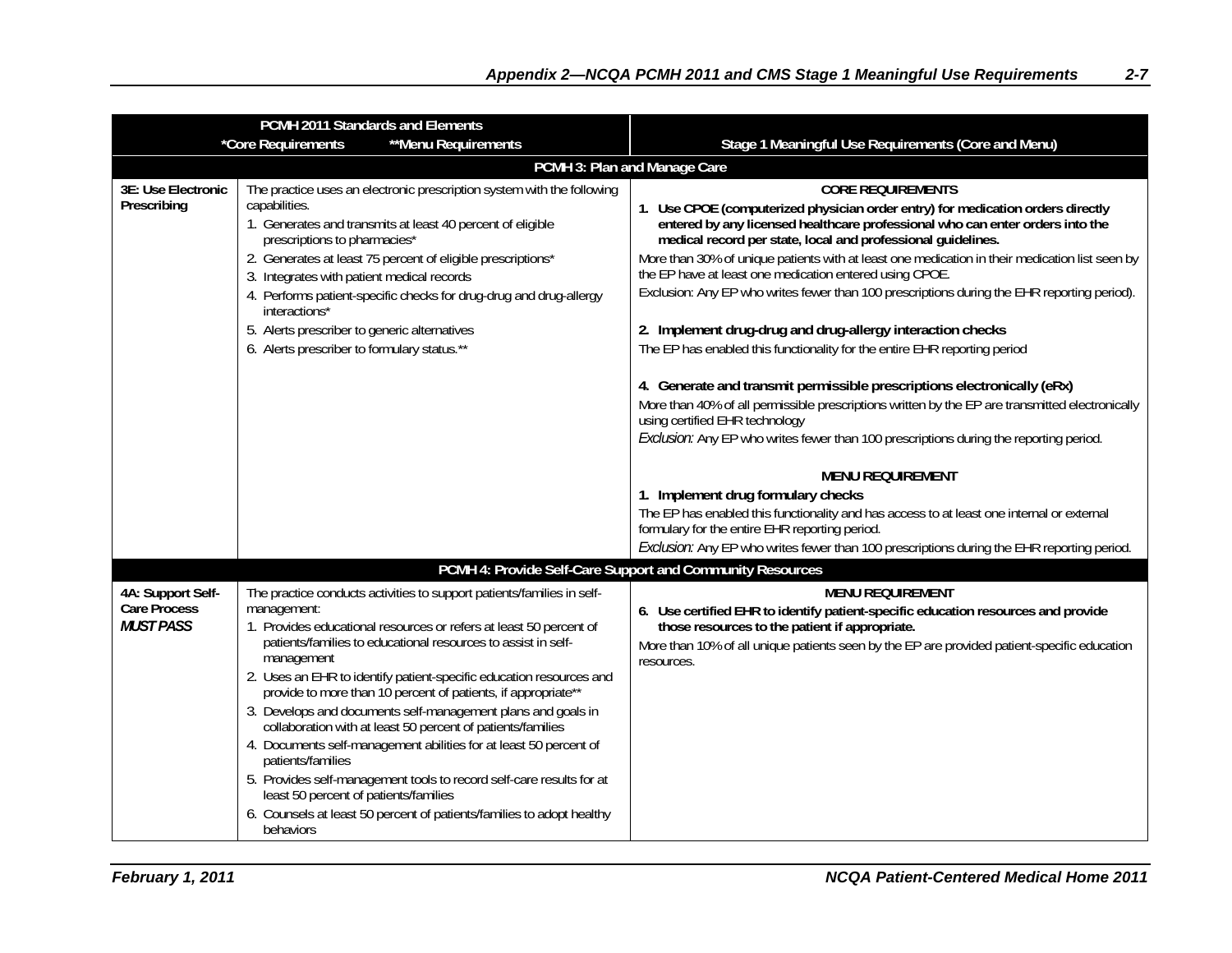|                                                              | PCMH 2011 Standards and Elements                                                                                                                                                                                                                                                                                                                                                                                                                                                                                                                                                                                                                                                                                                                                                                                   |                                                                                                                                                                                                                                                                                                                                                                                                                                                                                                                                                                                                                                                                                                                                                                                                                                                                                                                                                                                                                                                                                                                                                                                               |  |
|--------------------------------------------------------------|--------------------------------------------------------------------------------------------------------------------------------------------------------------------------------------------------------------------------------------------------------------------------------------------------------------------------------------------------------------------------------------------------------------------------------------------------------------------------------------------------------------------------------------------------------------------------------------------------------------------------------------------------------------------------------------------------------------------------------------------------------------------------------------------------------------------|-----------------------------------------------------------------------------------------------------------------------------------------------------------------------------------------------------------------------------------------------------------------------------------------------------------------------------------------------------------------------------------------------------------------------------------------------------------------------------------------------------------------------------------------------------------------------------------------------------------------------------------------------------------------------------------------------------------------------------------------------------------------------------------------------------------------------------------------------------------------------------------------------------------------------------------------------------------------------------------------------------------------------------------------------------------------------------------------------------------------------------------------------------------------------------------------------|--|
|                                                              | **Menu Requirements<br>*Core Requirements                                                                                                                                                                                                                                                                                                                                                                                                                                                                                                                                                                                                                                                                                                                                                                          | Stage 1 Meaningful Use Requirements (Core and Menu)                                                                                                                                                                                                                                                                                                                                                                                                                                                                                                                                                                                                                                                                                                                                                                                                                                                                                                                                                                                                                                                                                                                                           |  |
|                                                              | PCMH 3: Plan and Manage Care                                                                                                                                                                                                                                                                                                                                                                                                                                                                                                                                                                                                                                                                                                                                                                                       |                                                                                                                                                                                                                                                                                                                                                                                                                                                                                                                                                                                                                                                                                                                                                                                                                                                                                                                                                                                                                                                                                                                                                                                               |  |
| 3E: Use Electronic<br>Prescribing                            | The practice uses an electronic prescription system with the following<br>capabilities.<br>1. Generates and transmits at least 40 percent of eligible<br>prescriptions to pharmacies*<br>2. Generates at least 75 percent of eligible prescriptions*<br>3. Integrates with patient medical records<br>4. Performs patient-specific checks for drug-drug and drug-allergy<br>interactions*<br>5. Alerts prescriber to generic alternatives<br>6. Alerts prescriber to formulary status.**                                                                                                                                                                                                                                                                                                                           | <b>CORE REQUIREMENTS</b><br>1. Use CPOE (computerized physician order entry) for medication orders directly<br>entered by any licensed healthcare professional who can enter orders into the<br>medical record per state, local and professional guidelines.<br>More than 30% of unique patients with at least one medication in their medication list seen by<br>the EP have at least one medication entered using CPOE.<br>Exclusion: Any EP who writes fewer than 100 prescriptions during the EHR reporting period).<br>2. Implement drug-drug and drug-allergy interaction checks<br>The EP has enabled this functionality for the entire EHR reporting period<br>4. Generate and transmit permissible prescriptions electronically (eRx)<br>More than 40% of all permissible prescriptions written by the EP are transmitted electronically<br>using certified EHR technology<br>Exclusion: Any EP who writes fewer than 100 prescriptions during the reporting period.<br><b>MENU REQUIREMENT</b><br>1. Implement drug formulary checks<br>The EP has enabled this functionality and has access to at least one internal or external<br>formulary for the entire EHR reporting period. |  |
|                                                              |                                                                                                                                                                                                                                                                                                                                                                                                                                                                                                                                                                                                                                                                                                                                                                                                                    | Exclusion: Any EP who writes fewer than 100 prescriptions during the EHR reporting period.                                                                                                                                                                                                                                                                                                                                                                                                                                                                                                                                                                                                                                                                                                                                                                                                                                                                                                                                                                                                                                                                                                    |  |
|                                                              |                                                                                                                                                                                                                                                                                                                                                                                                                                                                                                                                                                                                                                                                                                                                                                                                                    | PCMH 4: Provide Self-Care Support and Community Resources                                                                                                                                                                                                                                                                                                                                                                                                                                                                                                                                                                                                                                                                                                                                                                                                                                                                                                                                                                                                                                                                                                                                     |  |
| 4A: Support Self-<br><b>Care Process</b><br><b>MUST PASS</b> | The practice conducts activities to support patients/families in self-<br>management:<br>1. Provides educational resources or refers at least 50 percent of<br>patients/families to educational resources to assist in self-<br>management<br>2. Uses an EHR to identify patient-specific education resources and<br>provide to more than 10 percent of patients, if appropriate**<br>3. Develops and documents self-management plans and goals in<br>collaboration with at least 50 percent of patients/families<br>4. Documents self-management abilities for at least 50 percent of<br>patients/families<br>5. Provides self-management tools to record self-care results for at<br>least 50 percent of patients/families<br>6. Counsels at least 50 percent of patients/families to adopt healthy<br>behaviors | <b>MENU REQUIREMENT</b><br>6. Use certified EHR to identify patient-specific education resources and provide<br>those resources to the patient if appropriate.<br>More than 10% of all unique patients seen by the EP are provided patient-specific education<br>resources.                                                                                                                                                                                                                                                                                                                                                                                                                                                                                                                                                                                                                                                                                                                                                                                                                                                                                                                   |  |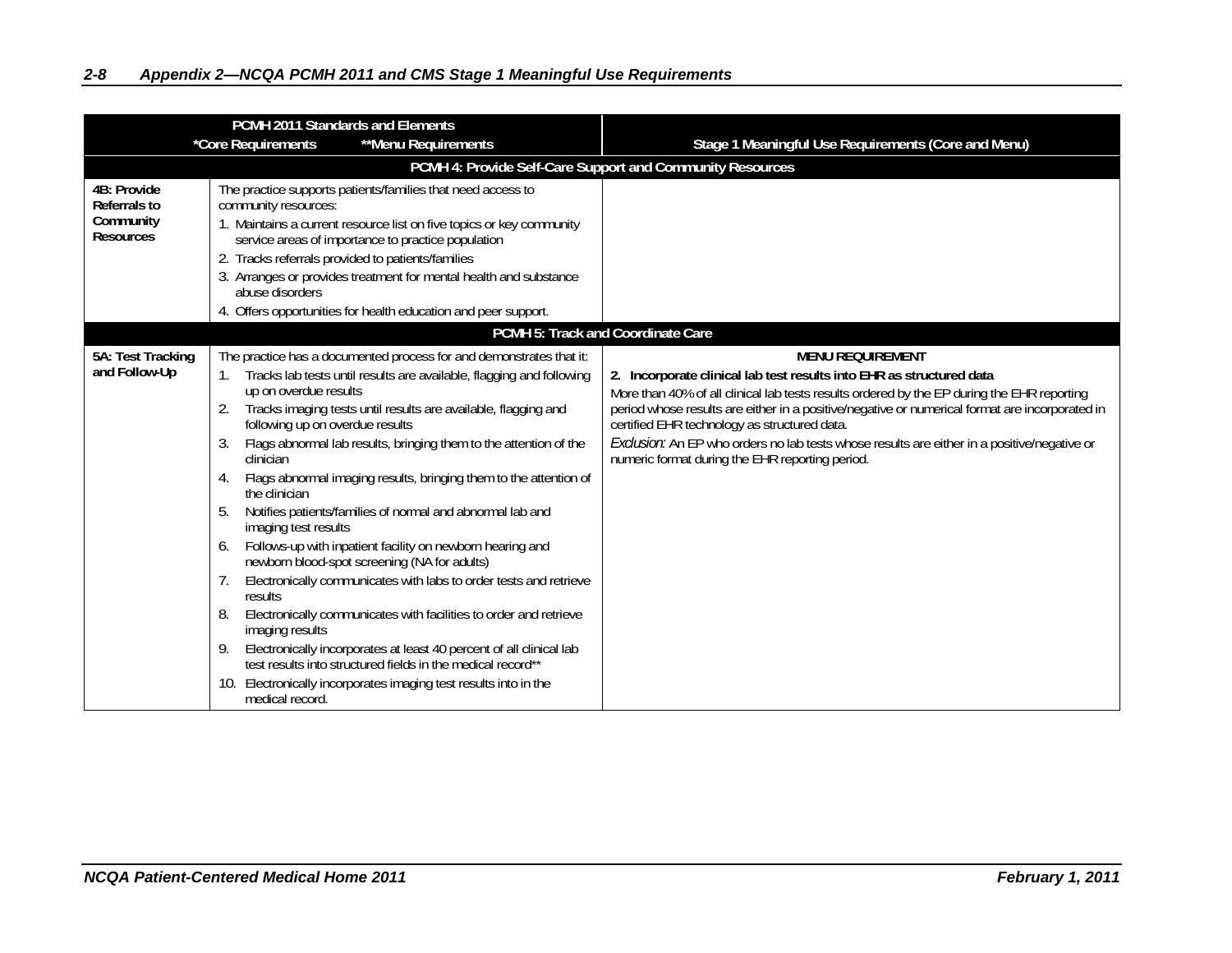|                                                                     | PCMH 2011 Standards and Elements<br>*Core Requirements<br>**Menu Requirements                                                                                                                                                                                                                                                                                                                                                                                                                                                                                                                                                                                                                                                                                                                                                                                                                                                                                                                                                                                                                               | Stage 1 Meaningful Use Requirements (Core and Menu)                                                                                                                                                                                                                                                                                                                                                                                                                                               |
|---------------------------------------------------------------------|-------------------------------------------------------------------------------------------------------------------------------------------------------------------------------------------------------------------------------------------------------------------------------------------------------------------------------------------------------------------------------------------------------------------------------------------------------------------------------------------------------------------------------------------------------------------------------------------------------------------------------------------------------------------------------------------------------------------------------------------------------------------------------------------------------------------------------------------------------------------------------------------------------------------------------------------------------------------------------------------------------------------------------------------------------------------------------------------------------------|---------------------------------------------------------------------------------------------------------------------------------------------------------------------------------------------------------------------------------------------------------------------------------------------------------------------------------------------------------------------------------------------------------------------------------------------------------------------------------------------------|
|                                                                     | PCMH 4: Provide Self-Care Support and Community Resources                                                                                                                                                                                                                                                                                                                                                                                                                                                                                                                                                                                                                                                                                                                                                                                                                                                                                                                                                                                                                                                   |                                                                                                                                                                                                                                                                                                                                                                                                                                                                                                   |
| 4B: Provide<br><b>Referrals to</b><br>Community<br><b>Resources</b> | The practice supports patients/families that need access to<br>community resources:<br>1. Maintains a current resource list on five topics or key community<br>service areas of importance to practice population<br>2. Tracks referrals provided to patients/families<br>3. Arranges or provides treatment for mental health and substance<br>abuse disorders<br>4. Offers opportunities for health education and peer support.                                                                                                                                                                                                                                                                                                                                                                                                                                                                                                                                                                                                                                                                            |                                                                                                                                                                                                                                                                                                                                                                                                                                                                                                   |
|                                                                     | PCMH 5: Track and Coordinate Care                                                                                                                                                                                                                                                                                                                                                                                                                                                                                                                                                                                                                                                                                                                                                                                                                                                                                                                                                                                                                                                                           |                                                                                                                                                                                                                                                                                                                                                                                                                                                                                                   |
| 5A: Test Tracking<br>and Follow-Up                                  | The practice has a documented process for and demonstrates that it:<br>Tracks lab tests until results are available, flagging and following<br>up on overdue results<br>Tracks imaging tests until results are available, flagging and<br>2.<br>following up on overdue results<br>Flags abnormal lab results, bringing them to the attention of the<br>3.<br>clinician<br>Flags abnormal imaging results, bringing them to the attention of<br>4.<br>the clinician<br>Notifies patients/families of normal and abnormal lab and<br>5.<br>imaging test results<br>Follows-up with inpatient facility on newborn hearing and<br>6.<br>newborn blood-spot screening (NA for adults)<br>Electronically communicates with labs to order tests and retrieve<br>7.<br>results<br>Electronically communicates with facilities to order and retrieve<br>8.<br>imaging results<br>Electronically incorporates at least 40 percent of all clinical lab<br>9.<br>test results into structured fields in the medical record**<br>Electronically incorporates imaging test results into in the<br>10.<br>medical record. | <b>MENU REQUIREMENT</b><br>2. Incorporate clinical lab test results into EHR as structured data<br>More than 40% of all clinical lab tests results ordered by the EP during the EHR reporting<br>period whose results are either in a positive/negative or numerical format are incorporated in<br>certified EHR technology as structured data.<br>Exclusion: An EP who orders no lab tests whose results are either in a positive/negative or<br>numeric format during the EHR reporting period. |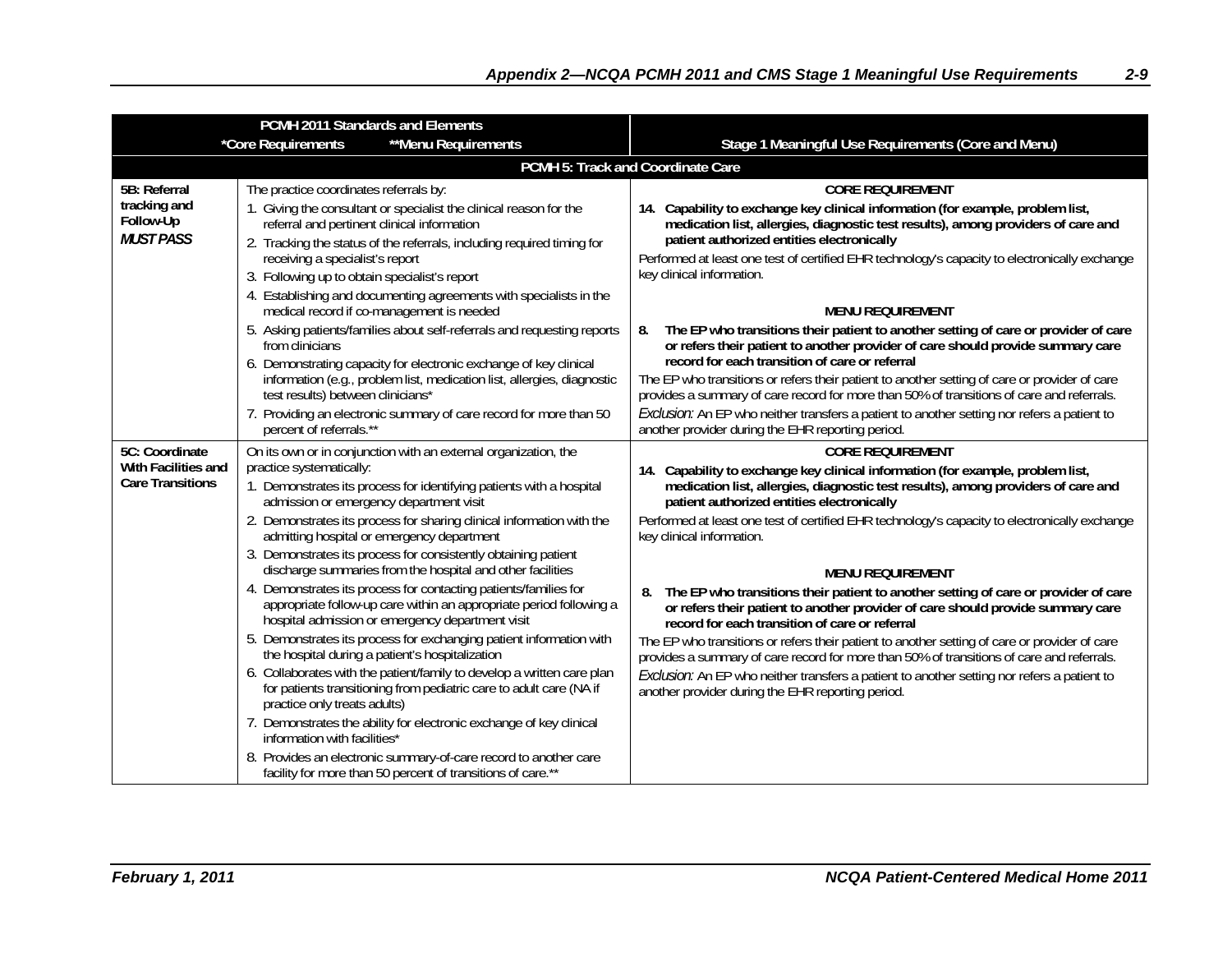|                                                                  | PCMH 2011 Standards and Elements                                                                                                                                                                                                                                                                                                                                                                                                                                                                                                                                                                                                                                                                                                                                                                                                                                                                                                                                                                                                                                                                                                                                                                                          |                                                                                                                                                                                                                                                                                                                                                                                                                                                                                                                                                                                                                                                                                                                                                                                                                                                                                                                                                                                            |  |  |
|------------------------------------------------------------------|---------------------------------------------------------------------------------------------------------------------------------------------------------------------------------------------------------------------------------------------------------------------------------------------------------------------------------------------------------------------------------------------------------------------------------------------------------------------------------------------------------------------------------------------------------------------------------------------------------------------------------------------------------------------------------------------------------------------------------------------------------------------------------------------------------------------------------------------------------------------------------------------------------------------------------------------------------------------------------------------------------------------------------------------------------------------------------------------------------------------------------------------------------------------------------------------------------------------------|--------------------------------------------------------------------------------------------------------------------------------------------------------------------------------------------------------------------------------------------------------------------------------------------------------------------------------------------------------------------------------------------------------------------------------------------------------------------------------------------------------------------------------------------------------------------------------------------------------------------------------------------------------------------------------------------------------------------------------------------------------------------------------------------------------------------------------------------------------------------------------------------------------------------------------------------------------------------------------------------|--|--|
|                                                                  | *Core Requirements<br>**Menu Requirements                                                                                                                                                                                                                                                                                                                                                                                                                                                                                                                                                                                                                                                                                                                                                                                                                                                                                                                                                                                                                                                                                                                                                                                 | Stage 1 Meaningful Use Requirements (Core and Menu)                                                                                                                                                                                                                                                                                                                                                                                                                                                                                                                                                                                                                                                                                                                                                                                                                                                                                                                                        |  |  |
|                                                                  | PCMH 5: Track and Coordinate Care                                                                                                                                                                                                                                                                                                                                                                                                                                                                                                                                                                                                                                                                                                                                                                                                                                                                                                                                                                                                                                                                                                                                                                                         |                                                                                                                                                                                                                                                                                                                                                                                                                                                                                                                                                                                                                                                                                                                                                                                                                                                                                                                                                                                            |  |  |
| 5B: Referral                                                     | The practice coordinates referrals by:                                                                                                                                                                                                                                                                                                                                                                                                                                                                                                                                                                                                                                                                                                                                                                                                                                                                                                                                                                                                                                                                                                                                                                                    | <b>CORE REQUIREMENT</b>                                                                                                                                                                                                                                                                                                                                                                                                                                                                                                                                                                                                                                                                                                                                                                                                                                                                                                                                                                    |  |  |
| tracking and<br>Follow-Up<br><b>MUST PASS</b>                    | 1. Giving the consultant or specialist the clinical reason for the<br>referral and pertinent clinical information<br>2. Tracking the status of the referrals, including required timing for                                                                                                                                                                                                                                                                                                                                                                                                                                                                                                                                                                                                                                                                                                                                                                                                                                                                                                                                                                                                                               | 14. Capability to exchange key clinical information (for example, problem list,<br>medication list, allergies, diagnostic test results), among providers of care and<br>patient authorized entities electronically                                                                                                                                                                                                                                                                                                                                                                                                                                                                                                                                                                                                                                                                                                                                                                         |  |  |
|                                                                  | receiving a specialist's report<br>3. Following up to obtain specialist's report                                                                                                                                                                                                                                                                                                                                                                                                                                                                                                                                                                                                                                                                                                                                                                                                                                                                                                                                                                                                                                                                                                                                          | Performed at least one test of certified EHR technology's capacity to electronically exchange<br>key clinical information.                                                                                                                                                                                                                                                                                                                                                                                                                                                                                                                                                                                                                                                                                                                                                                                                                                                                 |  |  |
|                                                                  | 4. Establishing and documenting agreements with specialists in the<br>medical record if co-management is needed                                                                                                                                                                                                                                                                                                                                                                                                                                                                                                                                                                                                                                                                                                                                                                                                                                                                                                                                                                                                                                                                                                           | <b>MENU REQUIREMENT</b>                                                                                                                                                                                                                                                                                                                                                                                                                                                                                                                                                                                                                                                                                                                                                                                                                                                                                                                                                                    |  |  |
|                                                                  | 5. Asking patients/families about self-referrals and requesting reports<br>from clinicians<br>6. Demonstrating capacity for electronic exchange of key clinical                                                                                                                                                                                                                                                                                                                                                                                                                                                                                                                                                                                                                                                                                                                                                                                                                                                                                                                                                                                                                                                           | The EP who transitions their patient to another setting of care or provider of care<br>8.<br>or refers their patient to another provider of care should provide summary care<br>record for each transition of care or referral                                                                                                                                                                                                                                                                                                                                                                                                                                                                                                                                                                                                                                                                                                                                                             |  |  |
|                                                                  | information (e.g., problem list, medication list, allergies, diagnostic<br>test results) between clinicians*                                                                                                                                                                                                                                                                                                                                                                                                                                                                                                                                                                                                                                                                                                                                                                                                                                                                                                                                                                                                                                                                                                              | The EP who transitions or refers their patient to another setting of care or provider of care<br>provides a summary of care record for more than 50% of transitions of care and referrals.                                                                                                                                                                                                                                                                                                                                                                                                                                                                                                                                                                                                                                                                                                                                                                                                 |  |  |
|                                                                  | 7. Providing an electronic summary of care record for more than 50<br>percent of referrals.**                                                                                                                                                                                                                                                                                                                                                                                                                                                                                                                                                                                                                                                                                                                                                                                                                                                                                                                                                                                                                                                                                                                             | Exclusion: An EP who neither transfers a patient to another setting nor refers a patient to<br>another provider during the EHR reporting period.                                                                                                                                                                                                                                                                                                                                                                                                                                                                                                                                                                                                                                                                                                                                                                                                                                           |  |  |
| 5C: Coordinate<br>With Facilities and<br><b>Care Transitions</b> | On its own or in conjunction with an external organization, the<br>practice systematically:<br>1. Demonstrates its process for identifying patients with a hospital<br>admission or emergency department visit<br>2. Demonstrates its process for sharing clinical information with the<br>admitting hospital or emergency department<br>3. Demonstrates its process for consistently obtaining patient<br>discharge summaries from the hospital and other facilities<br>4. Demonstrates its process for contacting patients/families for<br>appropriate follow-up care within an appropriate period following a<br>hospital admission or emergency department visit<br>5. Demonstrates its process for exchanging patient information with<br>the hospital during a patient's hospitalization<br>6. Collaborates with the patient/family to develop a written care plan<br>for patients transitioning from pediatric care to adult care (NA if<br>practice only treats adults)<br>7. Demonstrates the ability for electronic exchange of key clinical<br>information with facilities*<br>8. Provides an electronic summary-of-care record to another care<br>facility for more than 50 percent of transitions of care.** | <b>CORE REQUIREMENT</b><br>14. Capability to exchange key clinical information (for example, problem list,<br>medication list, allergies, diagnostic test results), among providers of care and<br>patient authorized entities electronically<br>Performed at least one test of certified EHR technology's capacity to electronically exchange<br>key clinical information.<br><b>MENU REQUIREMENT</b><br>The EP who transitions their patient to another setting of care or provider of care<br>8.<br>or refers their patient to another provider of care should provide summary care<br>record for each transition of care or referral<br>The EP who transitions or refers their patient to another setting of care or provider of care<br>provides a summary of care record for more than 50% of transitions of care and referrals.<br>Exclusion: An EP who neither transfers a patient to another setting nor refers a patient to<br>another provider during the EHR reporting period. |  |  |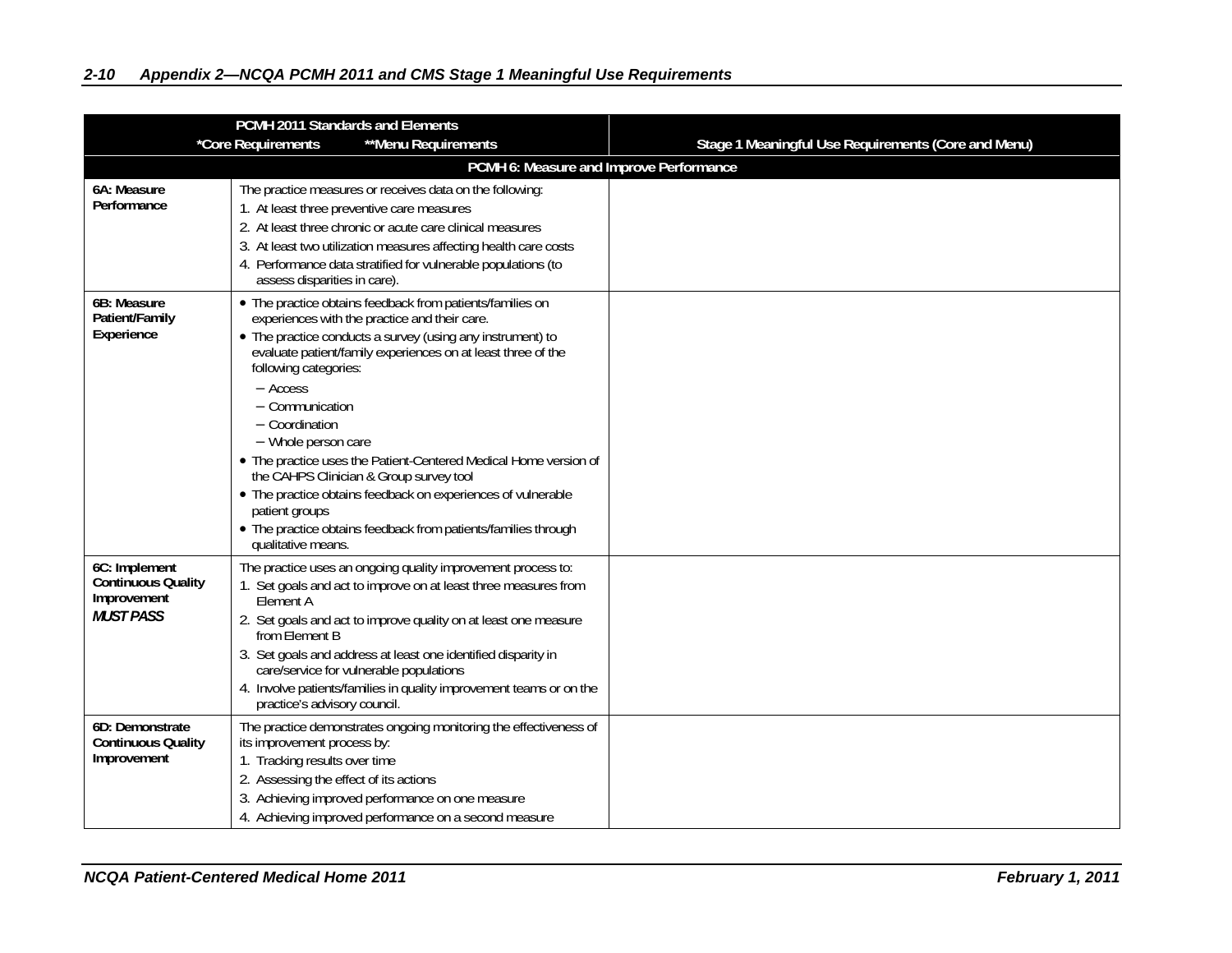|                                                                               | PCMH 2011 Standards and Elements                                                                                                                                                                                                                                                                                                                                                                                                                                                                                                                                                                                                         |                                                     |
|-------------------------------------------------------------------------------|------------------------------------------------------------------------------------------------------------------------------------------------------------------------------------------------------------------------------------------------------------------------------------------------------------------------------------------------------------------------------------------------------------------------------------------------------------------------------------------------------------------------------------------------------------------------------------------------------------------------------------------|-----------------------------------------------------|
|                                                                               | *Core Requirements<br>**Menu Requirements                                                                                                                                                                                                                                                                                                                                                                                                                                                                                                                                                                                                | Stage 1 Meaningful Use Requirements (Core and Menu) |
|                                                                               | PCMH 6: Measure and Improve Performance                                                                                                                                                                                                                                                                                                                                                                                                                                                                                                                                                                                                  |                                                     |
| 6A: Measure<br>Performance                                                    | The practice measures or receives data on the following:<br>1. At least three preventive care measures<br>2. At least three chronic or acute care clinical measures<br>3. At least two utilization measures affecting health care costs<br>4. Performance data stratified for vulnerable populations (to<br>assess disparities in care).                                                                                                                                                                                                                                                                                                 |                                                     |
| 6B: Measure<br>Patient/Family<br>Experience                                   | • The practice obtains feedback from patients/families on<br>experiences with the practice and their care.<br>• The practice conducts a survey (using any instrument) to<br>evaluate patient/family experiences on at least three of the<br>following categories:<br>$-$ Access<br>$-$ Communication<br>$-$ Coordination<br>- Whole person care<br>• The practice uses the Patient-Centered Medical Home version of<br>the CAHPS Clinician & Group survey tool<br>• The practice obtains feedback on experiences of vulnerable<br>patient groups<br>• The practice obtains feedback from patients/families through<br>qualitative means. |                                                     |
| 6C: Implement<br><b>Continuous Quality</b><br>Improvement<br><b>MUST PASS</b> | The practice uses an ongoing quality improvement process to:<br>1. Set goals and act to improve on at least three measures from<br>Element A<br>2. Set goals and act to improve quality on at least one measure<br>from Element B<br>3. Set goals and address at least one identified disparity in<br>care/service for vulnerable populations<br>4. Involve patients/families in quality improvement teams or on the<br>practice's advisory council.                                                                                                                                                                                     |                                                     |
| 6D: Demonstrate<br><b>Continuous Quality</b><br>Improvement                   | The practice demonstrates ongoing monitoring the effectiveness of<br>its improvement process by:<br>1. Tracking results over time<br>2. Assessing the effect of its actions<br>3. Achieving improved performance on one measure<br>4. Achieving improved performance on a second measure                                                                                                                                                                                                                                                                                                                                                 |                                                     |